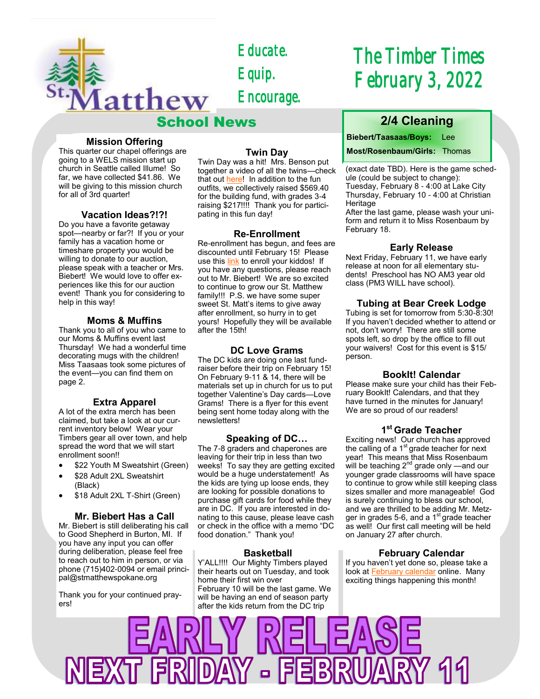

*Educate. Equip. Encourage.* 

## School News

#### **Mission Offering**

This quarter our chapel offerings are going to a WELS mission start up church in Seattle called Illume! So far, we have collected \$41.86. We will be giving to this mission church for all of 3rd quarter!

#### **Vacation Ideas?!?!**

Do you have a favorite getaway spot—nearby or far?! If you or your family has a vacation home or timeshare property you would be willing to donate to our auction, please speak with a teacher or Mrs. Biebert! We would love to offer experiences like this for our auction event! Thank you for considering to help in this way!

#### **Moms & Muffins**

Thank you to all of you who came to our Moms & Muffins event last Thursday! We had a wonderful time decorating mugs with the children! Miss Taasaas took some pictures of the event—you can find them on page 2.

#### **Extra Apparel**

A lot of the extra merch has been claimed, but take a look at our current inventory below! Wear your Timbers gear all over town, and help spread the word that we will start enrollment soon!!

- \$22 Youth M Sweatshirt (Green)
- \$28 Adult 2XL Sweatshirt (Black)
- \$18 Adult 2XL T-Shirt (Green)

#### **Mr. Biebert Has a Call**

Mr. Biebert is still deliberating his call to Good Shepherd in Burton, MI. If you have any input you can offer during deliberation, please feel free to reach out to him in person, or via phone (715)402-0094 or email principal@stmatthewspokane.org

Thank you for your continued prayers!

#### **Twin Day**

Twin Day was a hit! Mrs. Benson put together a video of all the twins—check that out [here!](https://drive.google.com/file/d/1cFI3z9HP2hEybRxeyR1YeyudpGSJ6bji/view?usp=sharing) In addition to the fun outfits, we collectively raised \$569.40 for the building fund, with grades 3-4 raising \$217!!!! Thank you for participating in this fun day!

#### **Re-Enrollment**

Re-enrollment has begun, and fees are discounted until February 15! Please use this [link](https://secure.tads.com/Accounts/Login.aspx?SetupCode=EEBNG-S38) to enroll your kiddos! If you have any questions, please reach out to Mr. Biebert! We are so excited to continue to grow our St. Matthew family!!! P.S. we have some super sweet St. Matt's items to give away after enrollment, so hurry in to get yours! Hopefully they will be available after the 15th!

#### **DC Love Grams**

The DC kids are doing one last fundraiser before their trip on February 15! On February 9-11 & 14, there will be materials set up in church for us to put together Valentine's Day cards—Love Grams! There is a flyer for this event being sent home today along with the newsletters!

#### **Speaking of DC…**

The 7-8 graders and chaperones are leaving for their trip in less than two weeks! To say they are getting excited would be a huge understatement! As the kids are tying up loose ends, they are looking for possible donations to purchase gift cards for food while they are in DC. If you are interested in donating to this cause, please leave cash or check in the office with a memo "DC food donation." Thank you!

#### **Basketball**

Y'ALL!!!! Our Mighty Timbers played their hearts out on Tuesday, and took home their first win over February 10 will be the last game. We will be having an end of season party after the kids return from the DC trip

# *The Timber Times February 3, 2022*

## **2/4 Cleaning**

**Biebert/Taasaas/Boys:** Lee

**Most/Rosenbaum/Girls:** Thomas

(exact date TBD). Here is the game schedule (could be subject to change): Tuesday, February 8 - 4:00 at Lake City Thursday, February 10 - 4:00 at Christian Heritage

After the last game, please wash your uniform and return it to Miss Rosenbaum by February 18.

#### **Early Release**

Next Friday, February 11, we have early release at noon for all elementary students! Preschool has NO AM3 year old class (PM3 WILL have school).

#### **Tubing at Bear Creek Lodge**

Tubing is set for tomorrow from 5:30-8:30! If you haven't decided whether to attend or not, don't worry! There are still some spots left, so drop by the office to fill out your waivers! Cost for this event is \$15/ person.

#### **BookIt! Calendar**

Please make sure your child has their February BookIt! Calendars, and that they have turned in the minutes for January! We are so proud of our readers!

### **1 st Grade Teacher**

Exciting news! Our church has approved the calling of a  $1<sup>st</sup>$  grade teacher for next year! This means that Miss Rosenbaum ,<br>will be teaching 2<sup>nd</sup> grade only —and our younger grade classrooms will have space to continue to grow while still keeping class sizes smaller and more manageable! God is surely continuing to bless our school, and we are thrilled to be adding Mr. Metzger in grades 5-6, and a  $1<sup>st</sup>$  grade teacher as well! Our first call meeting will be held on January 27 after church.

#### **February Calendar**

If you haven't yet done so, please take a look at **February calendar** online. Many exciting things happening this month!

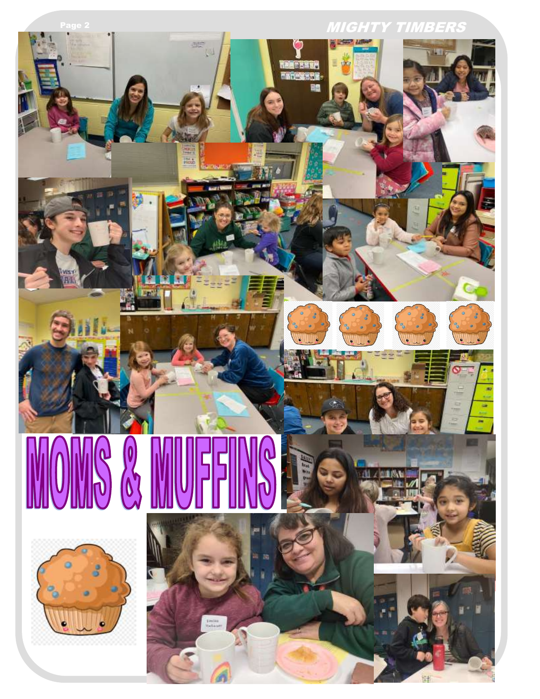

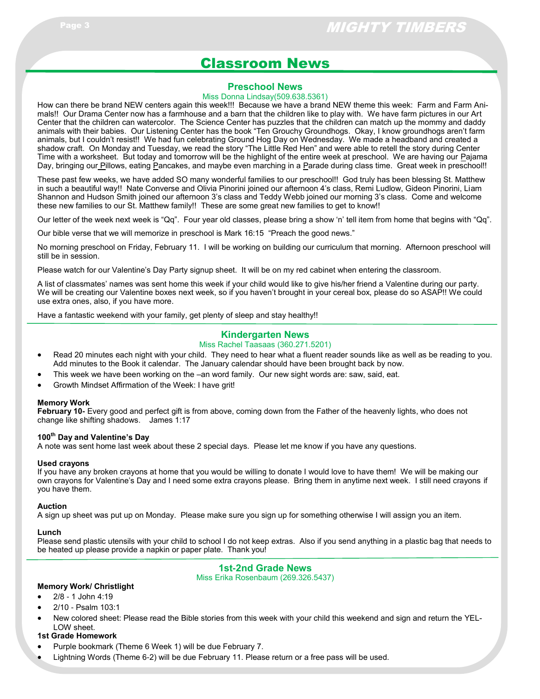## Classroom News

#### **Preschool News**

#### Miss Donna Lindsay(509.638.5361)

How can there be brand NEW centers again this week!!! Because we have a brand NEW theme this week: Farm and Farm Animals!! Our Drama Center now has a farmhouse and a barn that the children like to play with. We have farm pictures in our Art Center that the children can watercolor. The Science Center has puzzles that the children can match up the mommy and daddy animals with their babies. Our Listening Center has the book "Ten Grouchy Groundhogs. Okay, I know groundhogs aren't farm animals, but I couldn't resist!! We had fun celebrating Ground Hog Day on Wednesday. We made a headband and created a shadow craft. On Monday and Tuesday, we read the story "The Little Red Hen" and were able to retell the story during Center Time with a worksheet. But today and tomorrow will be the highlight of the entire week at preschool. We are having our Pajama Day, bringing our Pillows, eating Pancakes, and maybe even marching in a Parade during class time. Great week in preschool!!

These past few weeks, we have added SO many wonderful families to our preschool!! God truly has been blessing St. Matthew in such a beautiful way!! Nate Converse and Olivia Pinorini joined our afternoon 4's class, Remi Ludlow, Gideon Pinorini, Liam Shannon and Hudson Smith joined our afternoon 3's class and Teddy Webb joined our morning 3's class. Come and welcome these new families to our St. Matthew family!! These are some great new families to get to know!!

Our letter of the week next week is "Qq". Four year old classes, please bring a show 'n' tell item from home that begins with "Qq".

Our bible verse that we will memorize in preschool is Mark 16:15 "Preach the good news."

No morning preschool on Friday, February 11. I will be working on building our curriculum that morning. Afternoon preschool will still be in session.

Please watch for our Valentine's Day Party signup sheet. It will be on my red cabinet when entering the classroom.

A list of classmates' names was sent home this week if your child would like to give his/her friend a Valentine during our party. We will be creating our Valentine boxes next week, so if you haven't brought in your cereal box, please do so ASAP!! We could use extra ones, also, if you have more.

Have a fantastic weekend with your family, get plenty of sleep and stay healthy!!

#### **Kindergarten News**

#### Miss Rachel Taasaas (360.271.5201)

- Read 20 minutes each night with your child. They need to hear what a fluent reader sounds like as well as be reading to you. Add minutes to the Book it calendar. The January calendar should have been brought back by now.
- This week we have been working on the –an word family. Our new sight words are: saw, said, eat.
- Growth Mindset Affirmation of the Week: I have grit!

#### **Memory Work**

**February 10-** Every good and perfect gift is from above, coming down from the Father of the heavenly lights, who does not change like shifting shadows. James 1:17

#### **100th Day and Valentine's Day**

A note was sent home last week about these 2 special days. Please let me know if you have any questions.

#### **Used crayons**

If you have any broken crayons at home that you would be willing to donate I would love to have them! We will be making our own crayons for Valentine's Day and I need some extra crayons please. Bring them in anytime next week. I still need crayons if you have them.

#### **Auction**

A sign up sheet was put up on Monday. Please make sure you sign up for something otherwise I will assign you an item.

#### **Lunch**

Please send plastic utensils with your child to school I do not keep extras. Also if you send anything in a plastic bag that needs to be heated up please provide a napkin or paper plate. Thank you!

**1st-2nd Grade News**

Miss Erika Rosenbaum (269.326.5437)

#### **Memory Work/ Christlight**

- 2/8 1 John 4:19
- 2/10 Psalm 103:1
- New colored sheet: Please read the Bible stories from this week with your child this weekend and sign and return the YEL-LOW sheet.

#### **1st Grade Homework**

- Purple bookmark (Theme 6 Week 1) will be due February 7.
- Lightning Words (Theme 6-2) will be due February 11. Please return or a free pass will be used.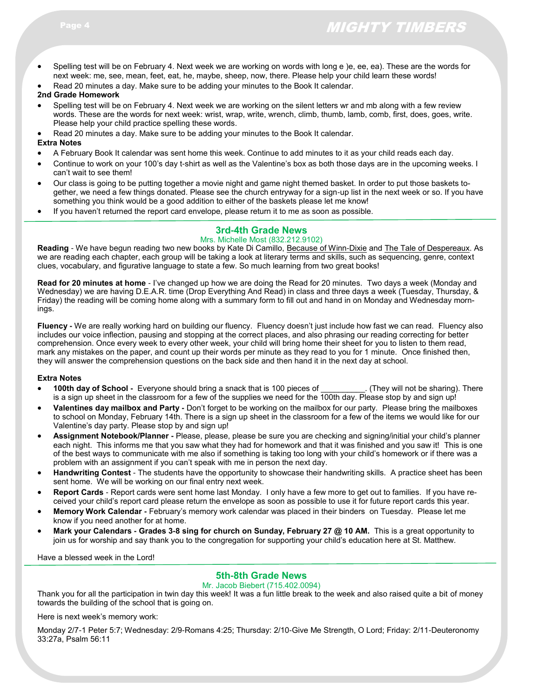- Spelling test will be on February 4. Next week we are working on words with long e )e, ee, ea). These are the words for next week: me, see, mean, feet, eat, he, maybe, sheep, now, there. Please help your child learn these words!
- Read 20 minutes a day. Make sure to be adding your minutes to the Book It calendar.

#### **2nd Grade Homework**

- Spelling test will be on February 4. Next week we are working on the silent letters wr and mb along with a few review words. These are the words for next week: wrist, wrap, write, wrench, climb, thumb, lamb, comb, first, does, goes, write. Please help your child practice spelling these words.
- Read 20 minutes a day. Make sure to be adding your minutes to the Book It calendar.

**Extra Notes**

- A February Book It calendar was sent home this week. Continue to add minutes to it as your child reads each day.
- Continue to work on your 100's day t-shirt as well as the Valentine's box as both those days are in the upcoming weeks. I can't wait to see them!
- Our class is going to be putting together a movie night and game night themed basket. In order to put those baskets together, we need a few things donated. Please see the church entryway for a sign-up list in the next week or so. If you have something you think would be a good addition to either of the baskets please let me know!
- If you haven't returned the report card envelope, please return it to me as soon as possible.

#### **3rd-4th Grade News**

#### Mrs. Michelle Most (832.212.9102)

**Reading** - We have begun reading two new books by Kate Di Camillo, Because of Winn-Dixie and The Tale of Despereaux. As we are reading each chapter, each group will be taking a look at literary terms and skills, such as sequencing, genre, context clues, vocabulary, and figurative language to state a few. So much learning from two great books!

**Read for 20 minutes at home** - I've changed up how we are doing the Read for 20 minutes. Two days a week (Monday and Wednesday) we are having D.E.A.R. time (Drop Everything And Read) in class and three days a week (Tuesday, Thursday, & Friday) the reading will be coming home along with a summary form to fill out and hand in on Monday and Wednesday mornings.

**Fluency -** We are really working hard on building our fluency. Fluency doesn't just include how fast we can read. Fluency also includes our voice inflection, pausing and stopping at the correct places, and also phrasing our reading correcting for better comprehension. Once every week to every other week, your child will bring home their sheet for you to listen to them read, mark any mistakes on the paper, and count up their words per minute as they read to you for 1 minute. Once finished then, they will answer the comprehension questions on the back side and then hand it in the next day at school.

#### **Extra Notes**

- **100th day of School -** Everyone should bring a snack that is 100 pieces of \_\_\_\_\_\_\_\_\_\_. (They will not be sharing). There is a sign up sheet in the classroom for a few of the supplies we need for the 100th day. Please stop by and sign up!
- **Valentines day mailbox and Party -** Don't forget to be working on the mailbox for our party. Please bring the mailboxes to school on Monday, February 14th. There is a sign up sheet in the classroom for a few of the items we would like for our Valentine's day party. Please stop by and sign up!
- **Assignment Notebook/Planner -** Please, please, please be sure you are checking and signing/initial your child's planner each night. This informs me that you saw what they had for homework and that it was finished and you saw it! This is one of the best ways to communicate with me also if something is taking too long with your child's homework or if there was a problem with an assignment if you can't speak with me in person the next day.
- **Handwriting Contest** The students have the opportunity to showcase their handwriting skills. A practice sheet has been sent home. We will be working on our final entry next week.
- **Report Cards** Report cards were sent home last Monday. I only have a few more to get out to families. If you have received your child's report card please return the envelope as soon as possible to use it for future report cards this year.
- **Memory Work Calendar -** February's memory work calendar was placed in their binders on Tuesday. Please let me know if you need another for at home.
- **Mark your Calendars - Grades 3-8 sing for church on Sunday, February 27 @ 10 AM.** This is a great opportunity to join us for worship and say thank you to the congregation for supporting your child's education here at St. Matthew.

Have a blessed week in the Lord!

#### **5th-8th Grade News**

#### Mr. Jacob Biebert (715.402.0094)

Thank you for all the participation in twin day this week! It was a fun little break to the week and also raised quite a bit of money towards the building of the school that is going on.

Here is next week's memory work:

Monday 2/7-1 Peter 5:7; Wednesday: 2/9-Romans 4:25; Thursday: 2/10-Give Me Strength, O Lord; Friday: 2/11-Deuteronomy 33:27a, Psalm 56:11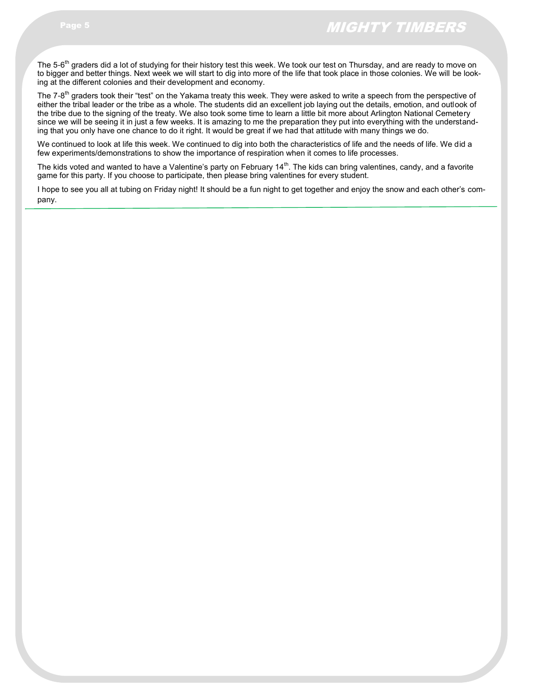The 5-6<sup>th</sup> graders did a lot of studying for their history test this week. We took our test on Thursday, and are ready to move on to bigger and better things. Next week we will start to dig into more of the life that took place in those colonies. We will be looking at the different colonies and their development and economy.

The 7-8<sup>th</sup> graders took their "test" on the Yakama treaty this week. They were asked to write a speech from the perspective of either the tribal leader or the tribe as a whole. The students did an excellent job laying out the details, emotion, and outlook of the tribe due to the signing of the treaty. We also took some time to learn a little bit more about Arlington National Cemetery since we will be seeing it in just a few weeks. It is amazing to me the preparation they put into everything with the understanding that you only have one chance to do it right. It would be great if we had that attitude with many things we do.

We continued to look at life this week. We continued to dig into both the characteristics of life and the needs of life. We did a few experiments/demonstrations to show the importance of respiration when it comes to life processes.

The kids voted and wanted to have a Valentine's party on February  $14<sup>th</sup>$ . The kids can bring valentines, candy, and a favorite game for this party. If you choose to participate, then please bring valentines for every student.

I hope to see you all at tubing on Friday night! It should be a fun night to get together and enjoy the snow and each other's company.